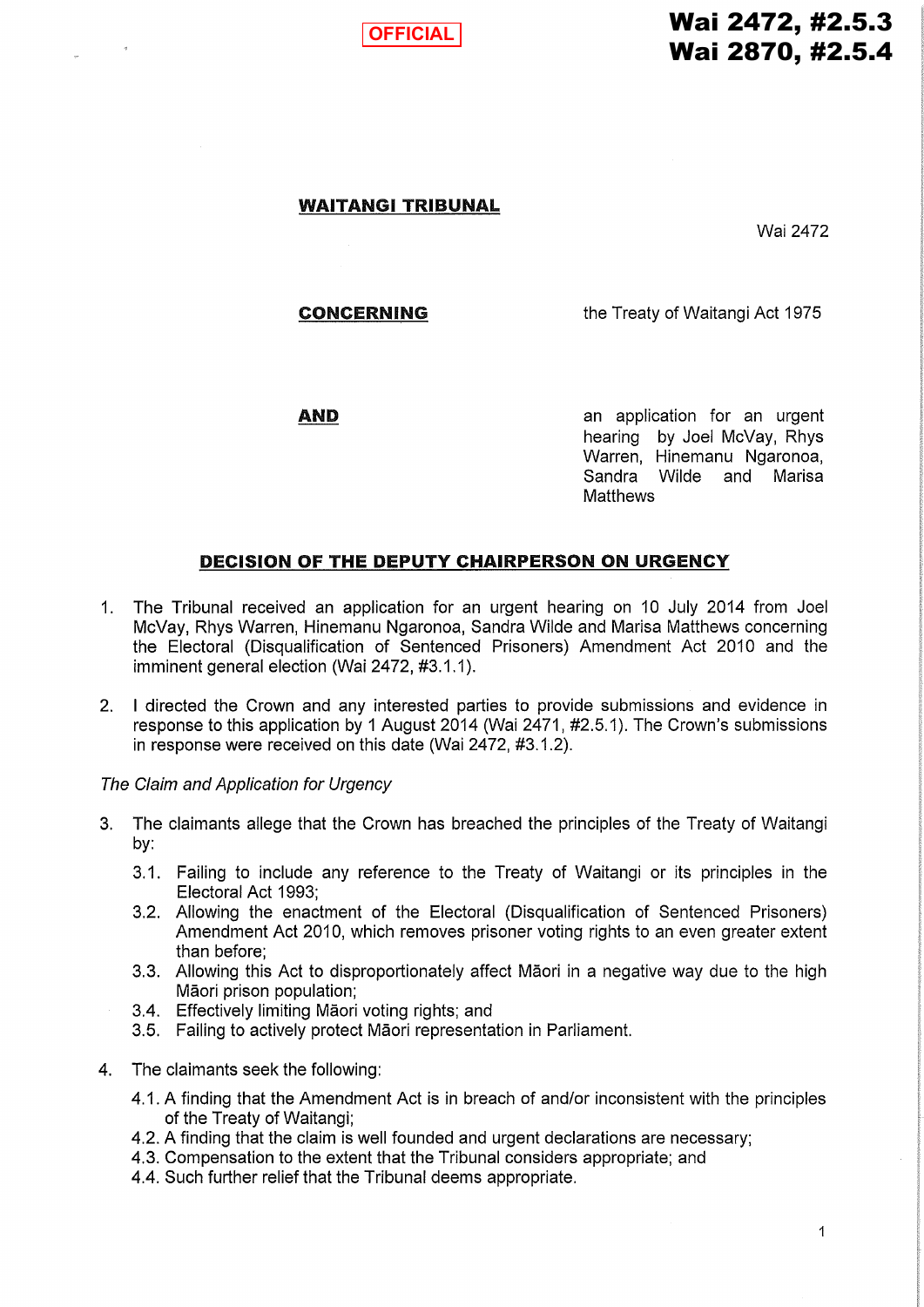

# Wai 2472, #2.5.3 Wai 2870, #2.5.4

#### WAITANGI TRIBUNAL

Wai2472

#### CONCERNING

the Treaty of Waitangi Act 1975

**AND** 

an application for an urgent hearing by Joel McVay, Rhys Warren, Hinemanu Ngaronoa, Sandra Wilde and Marisa **Matthews** 

## DECISION OF THE DEPUTY CHAIRPERSON ON URGENCY

- 1. The Tribunal received an application for an urgent hearing on 10 July 2014 from Joel McVay, Rhys Warren, Hinemanu Ngaronoa, Sandra Wilde and Marisa Matthews concerning the Electoral (Disqualification of Sentenced Prisoners) Amendment Act 2010 and the imminent general election (Wai 2472, #3.1.1).
- 2. I directed the Crown and any interested parties to provide submissions and evidence in response to this application by 1 August 2014 (Wai 2471, #2.5.1). The Crown's submissions in response were received on this date (Wai 2472, #3.1.2).

The Claim and Application for Urgency

- 3. The claimants allege that the Crown has breached the principles of the Treaty of Waitangi by:
	- 3.1. Failing to include any reference to the Treaty of Waitangi or its principles in the Electoral Act 1993;
	- 3.2. Allowing the enactment of the Electoral (Disqualification of Sentenced Prisoners) Amendment Act 2010, which removes prisoner voting rights to an even greater extent than before;
	- 3.3. Allowing this Act to disproportionately affect Maori in a negative way due to the high Māori prison population;
	- 3.4. Effectively limiting Maori voting rights; and
	- 3.5. Failing to actively protect Maori representation in Parliament.
- 4. The claimants seek the following:
	- 4.1. A finding that the Amendment Act is in breach of and/or inconsistent with the principles of the Treaty of Waitangi;
	- 4.2. A finding that the claim is well founded and urgent declarations are necessary;
	- 4.3. Compensation to the extent that the Tribunal considers appropriate; and
	- 4.4. Such further relief that the Tribunal deems appropriate.

 $\mathbf{1}$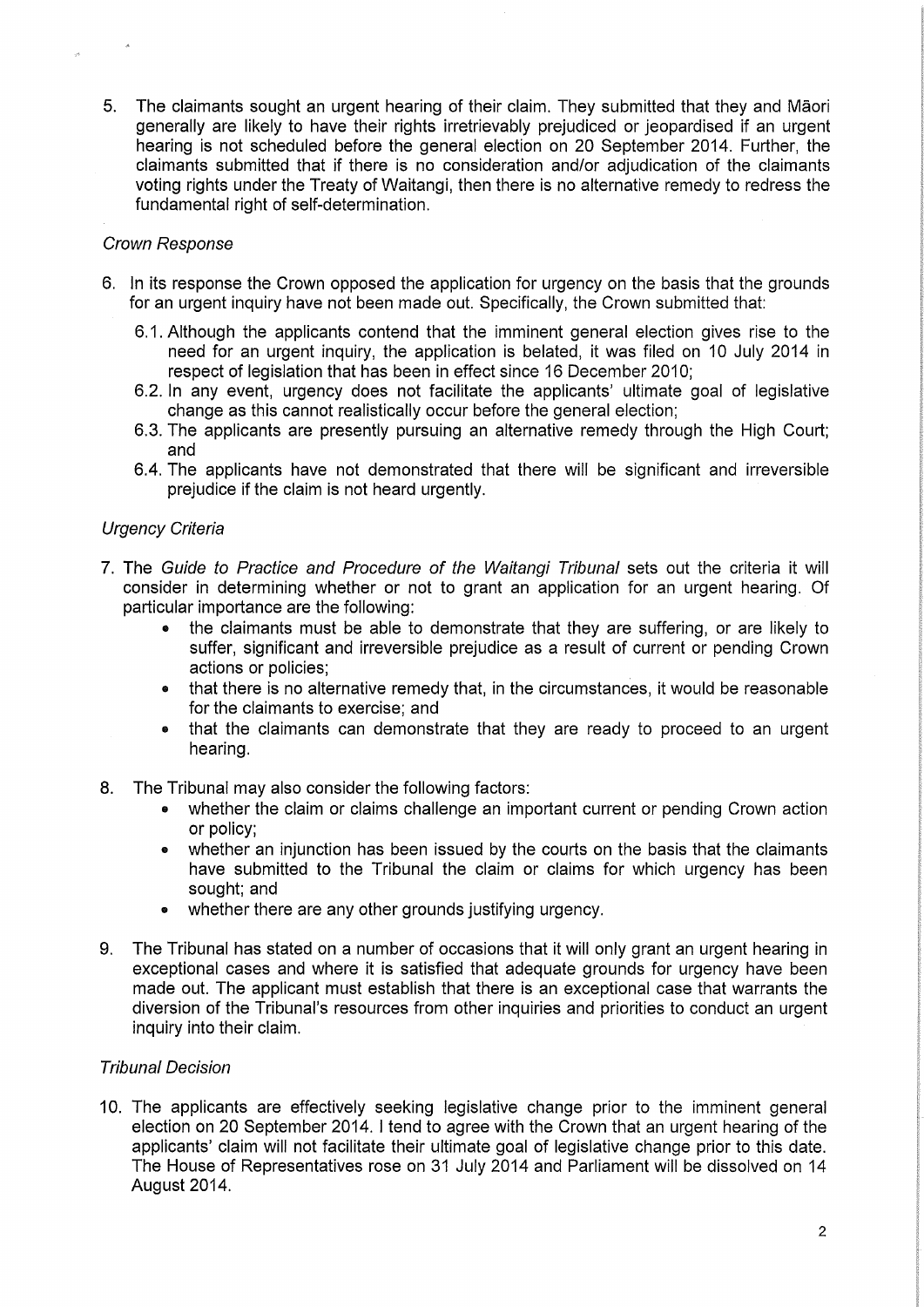5. The claimants sought an urgent hearing of their claim. They submitted that they and Maori generally are likely to have their rights irretrievably prejudiced or jeopardised if an urgent hearing is not scheduled before the general election on 20 September 2014. Further, the claimants submitted that if there is no consideration and/or adjudication of the claimants voting rights under the Treaty of Waitangi, then there is no alternative remedy to redress the fundamental right of self-determination.

#### Crown Response

- 6. In its response the Crown opposed the application for urgency on the basis that the grounds for an urgent inquiry have not been made out. Specifically, the Crown submitted that:
	- 6.1. Although the applicants contend that the imminent general election gives rise to the need for an urgent inquiry, the application is belated, it was filed on 10 July 2014 in respect of legislation that has been in effect since 16 December 2010;
	- 6.2. In any event, urgency does not facilitate the applicants' ultimate goal of legislative change as this cannot realistically occur before the general election;
	- 6.3. The applicants are presently pursuing an alternative remedy through the High Court; and
	- 6.4. The applicants have not demonstrated that there will be significant and irreversible prejudice if the claim is not heard urgently.

## Urgency Criteria

- 7. The Guide to Practice and Procedure of the Waitangi Tribunal sets out the criteria it will consider in determining whether or not to grant an application for an urgent hearing. Of particular importance are the following:
	- the claimants must be able to demonstrate that they are suffering, or are likely to suffer, significant and irreversible prejudice as a result of current or pending Crown actions or policies;
	- that there is no alternative remedy that, in the circumstances, it would be reasonable for the claimants to exercise; and
	- that the claimants can demonstrate that they are ready to proceed to an urgent hearing.
- 8. The Tribunal may also consider the following factors:
	- whether the claim or claims challenge an important current or pending Crown action or policy;
	- whether an injunction has been issued by the courts on the basis that the claimants have submitted to the Tribunal the claim or claims for which urgency has been sought; and
	- whether there are any other grounds justifying urgency.
- 9. The Tribunal has stated on a number of occasions that it will only grant an urgent hearing in exceptional cases and where it is satisfied that adequate grounds for urgency have been made out. The applicant must establish that there is an exceptional case that warrants the diversion of the Tribunal's resources from other inquiries and priorities to conduct an urgent inquiry into their claim.

#### Tribunal Decision

10. The applicants are effectively seeking legislative change prior to the imminent general election on 20 September 2014. I tend to agree with the Crown that an urgent hearing of the applicants' claim will not facilitate their ultimate goal of legislative change prior to this date. The House of Representatives rose on 31 July 2014 and Parliament will be dissolved on 14 August 2014.